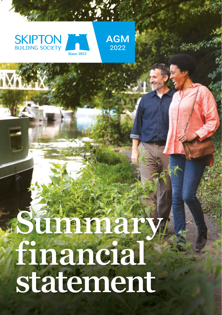





# **financial Summary statement**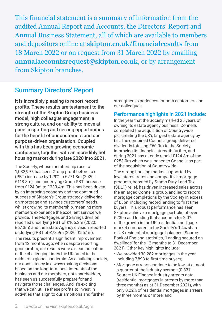This financial statement is a summary of information from the audited Annual Report and Accounts, the Directors' Report and Annual Business Statement, all of which are available to members and depositors online at **[skipton.co.uk/financialresults](http://www.skipton.co.uk/financialresults)** from 18 March 2022 or on request from 31 March 2022 by emailing **[annualaccountsrequest@skipton.co.uk](http://www.annualaccountsrequest@skipton.co.uk)**, or by arrangement from Skipton branches.

### Summary Directors' Report

It is incredibly pleasing to report record profits. These results are testament to the strength of the Skipton Group business model, high colleague engagement, a strong culture, and our ability to move at pace in spotting and seizing opportunities for the benefit of our customers and our purpose-driven organisation. Coupled with this has been growing economic confidence, together with an incredibly hot housing market during late 2020 into 2021.

The Society, whose membership rose to 1,082,997, has seen Group profit before tax (PBT) increase by 129% to £271.8m (2020: £118.8m), and underlying Group PBT increase from £124.0m to £233.4m. This has been driven by an improving economy and the continued success of Skipton's Group strategy, delivering on mortgage and savings customers' needs, whilst growing its membership, meaning more members experience the excellent service we provide. The Mortgages and Savings division reported underlying PBT of £165.3m (2020: £67.3m) and the Estate Agency division reported underlying PBT of £78.9m (2020: £55.1m). The results present a significant improvement from 12 months ago, when despite reporting good profits, our results were a clear indication of the challenging times the UK faced in the midst of a global pandemic. As a building society, our consistency in always making decisions based on the long-term best interests of the business and our members, not shareholders, has seen us successfully prepare for and navigate those challenges. And it's exciting that we can utilise these profits to invest in activities that align to our ambitions and further

strengthen experiences for both customers and our colleagues.

### Performance highlights in 2021 include:

In the year that the Society marked 25 years of owning its estate agency business, Connells completed the acquisition of Countrywide plc, creating the UK's largest estate agency by far. The combined Connells group delivered dividends totalling £60.0m to the Society, improving its financial strength further, and during 2021 has already repaid £124.8m of the £253.0m which was loaned to Connells as part of the acquisition of Countrywide.

The strong housing market, supported by low interest rates and competitive mortgage products, boosted by Stamp Duty Land Tax (SDLT) relief, has driven increased sales across the enlarged Connells group, and led to record mortgage completions by the Society in excess of £5bn, including record lending to first time buyers. This robust performance has seen Skipton achieve a mortgage portfolio of over £23bn and lending that accounts for 2.0% of the growth in the UK residential mortgage market compared to the Society's 1.4% share of UK residential mortgage balances (Source: Bank of England statistics, 'Lending secured on dwellings' for the 12 months to 31 December 2021). Other key highlights include:

- We provided 30,282 mortgages in the year, including 7,893 to first time buyers;
- Mortgage arrears continue to be low, at almost a quarter of the industry average (0.83% - Source: UK Finance industry arrears data (residential mortgages in arrears by more than three months) as at 31 December 2021), with only 0.22% of residential mortgages in arrears by three months or more; and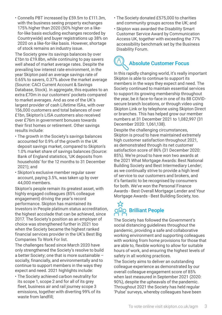• Connells PBT increased by £59.5m to £111.3m, with the business seeing property exchanges 175% higher than 2020 (50% higher on a likefor-like basis excluding exchanges recorded by Countrywide) and buyer registrations up 38% on 2020 on a like-for-like basis. However, shortage of stock remains an industry issue.

The Society grew its savings balances by over £1bn to £19.8bn, while continuing to pay savers well ahead of market average rates. Despite the prevailing low interest rate environment, in the year Skipton paid an average savings rate of 0.65% to savers, 0.37% above the market average (Source: CACI Current Account & Savings Database, Stock). In aggregate, this equates to an extra £70m in our customers' pockets compared to market averages. And as one of the UK's largest provider of cash Lifetime ISAs, with over 156,000 customers and total balances of over £1bn, Skipton's LISA customers also received over £76m in government bonuses towards their first homes or retirement. Other savings results include:

- The growth in the Society's savings balances accounted for 0.9% of the growth in the UK deposit savings market, compared to Skipton's 1.0% market share of savings balances (Source: Bank of England statistics, 'UK deposits from households' for the 12 months to 31 December 2021); and
- Skipton's exclusive member regular saver account, paying 3.5%, was taken up by over 44,000 members.

Skipton's people remain its greatest asset, with highly engaged colleagues (85% colleague engagement) driving the year's record performance. Skipton has maintained its Investors in People platinum status accreditation, the highest accolade that can be achieved, since 2017. The Society's position as an employer of choice was strengthened further in 2021 too when the Society became the highest ranked financial services provider in the UK's Best Big Companies To Work For list.

The challenges faced since March 2020 have only strengthened the Society's resolve to build a better Society; one that is more sustainable – socially, financially, and environmentally and to continue to support members in the ways they expect and need. 2021 highlights include:

• The Society achieved carbon neutrality for its scope 1, scope 2 and for all of its grey fleet, business air and rail journey scope 3 emissions, together with diverting 99% of its waste from landfill;

- The Society donated £575,000 to charities and community groups across the UK; and
- Skipton was awarded the Disability Smart Customer Service Award by Communication Access UK, together with exceeding the 77% accessibility benchmark set by the Business Disability Forum.

# Absolute Customer Focus

In this rapidly changing world, it's really important Skipton is able to continue to support its members in the ways they expect and need. The Society continued to maintain essential services to support its growing membership throughout the year, be it face-to-face in one of its 88 COVIDsecure branch locations, or through video using Skipton Link or by telephone using Skipton Direct or branches. This has helped grow our member numbers at 31 December 2021 to 1,082,997 (31 December 2020: 1,061,138).

Despite the challenging circumstances, Skipton is proud to have maintained extremely high customer satisfaction throughout 2021, as demonstrated through its net customer satisfaction score of 86% (31 December 2020: 85%). We're proud to have won two awards at the 2021 What Mortgage Awards: Best National Building Society and Best Intermediary Lender; as we continually strive to provide a high level of service to our customers and brokers, and it's fantastic to be recognised by consumers for both. We've won the Personal Finance Awards - Best Overall Mortgage Lender and Your Mortgage Awards - Best Building Society, too.

### ☆ 000 Brilliant People

The Society has followed the Government's social distancing guidelines throughout the pandemic, providing a safe and collaborative working environment and supporting colleagues with working from home provisions for those that are able to, flexible working to allow for suitable hours of work, and ensuring the highest levels of safety in all working practices.

The Society aims to deliver an outstanding colleague experience as demonstrated by our overall colleague engagement score of 85% when last measured in September 2021 (2020: 90%), despite the upheavals of the pandemic. Throughout 2021 the Society has held regular 'Pulse' surveys, whereby colleagues have been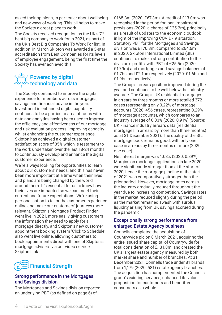asked their opinions, in particular about wellbeing and new ways of working. This all helps to make the Society a great place to work.

The Society received recognition as the UK's 7<sup>th</sup> best big company to work for in 2021, as part of the UK's Best Big Companies To Work For list. In addition, in March Skipton was awarded a 3-star accreditation from Best Companies for its levels of employee engagement, being the first time the Society has ever achieved this.

### $\partial \widetilde{\langle \langle} \rangle$  Powered by digital technology and data

The Society continued to improve the digital experience for members across mortgages, savings and financial advice in the year. Investment in enhanced digital capability continues to be a particular area of focus with data and analytics having been used to improve the efficiency and effectiveness of our mortgage and risk evaluation process, improving capacity whilst enhancing the customer experience. Skipton has achieved a digital customer satisfaction score of 85% which is testament to the work undertaken over the last 18-24 months to continuously develop and enhance the digital customer experience.

We're always looking for opportunities to learn about our customers' needs, and this has never been more important at a time when their lives and plans are being changed by the world around them. It's essential for us to know how their lives are impacted so we can meet their current and future expectations. We're using personalisation to tailor the customer experience online and make our customers' journeys more relevant. Skipton's Mortgage Product Finder went live in 2021, more easily giving customers the information they need to apply for a mortgage directly, and Skipton's new customer appointment booking system 'Click to Schedule' also went live online, allowing customers to book appointments direct with one of Skipton's mortgage advisers via our video service Skipton Link.



### Strong performance in the Mortgages and Savings division

The Mortgages and Savings division reported an underlying PBT (as defined on page 6) of

£165.3m (2020: £67.3m). A credit of £13.0m was recognised in the period for loan impairment provisions (2020: a charge of £25.2m), principally as a result of updates to the economic outlook in light of the improving COVID-19 situation. Statutory PBT for the Mortgages and Savings division was £170.8m, compared to £64.6m in 2020. Skipton International Limited (SIL) continues to make a strong contribution to the division's profits, with PBT of £25.5m (2020: £19.9m) and mortgages and savings balances of £1.7bn and £2.1bn respectively (2020: £1.6bn and £1.9bn respectively).

The Group's arrears position improved during the year and continues to be well below the industry average. The Group's UK residential mortgages in arrears by three months or more totalled 372 cases representing only 0.22% of mortgage accounts (2020: 456 cases, representing 0.29% of mortgage accounts), which compares to an industry average of 0.83% (2020: 0.91%) (Source: UK Finance industry arrears data (residential mortgages in arrears by more than three months) as at 31 December 2021). The quality of the SIL mortgage book remains good, with only one case in arrears by three months or more (2020: one case).

Net interest margin was 1.03% (2020: 0.89%). Margins on mortgage applications in late 2020 were significantly stronger than at the start of 2020, hence the mortgage pipeline at the start of 2021 was comparatively stronger than the prior period. However, mortgage rates across the industry gradually reduced throughout the year due to increasing competition. Savings rates in the market reduced slightly during the period as the market remained awash with surplus liquidity arising from UK savings accrued during the pandemic.

### Exceptionally strong performance from enlarged Estate Agency business

Connells completed the acquisition of Countrywide plc on 8 March 2021, acquiring the entire issued share capital of Countrywide for total consideration of £131.8m, and created the UK's largest estate agency measured by both market share and number of branches. At 31 December 2021, Connells trade under 81 brands from 1,179 (2020: 581) estate agency branches. The acquisition has complemented the Connells group's existing services, enhanced its value proposition for customers and benefitted consumers as a whole.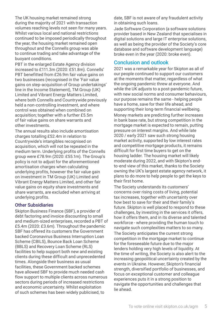The UK housing market remained strong during the majority of 2021 with transaction volumes reaching levels not seen for many years. Whilst various local and national restrictions continued to be imposed periodically throughout the year, the housing market remained open throughout and the Connells group was able to continue trading and take advantage of the buoyant conditions.

PBT in the enlarged Estate Agency division increased to £111.3m (2020: £51.8m). Connells' PBT benefitted from £26.9m fair value gains on two businesses (recognised in the 'Fair value gains on step-acquisition of Group undertakings' line in the Income Statement), TM Group (UK) Limited and Vibrant Energy Matters Limited, where both Connells and Countrywide previously held a non-controlling investment, and where control was obtained when combined on acquisition; together with a further £5.5m of fair value gains on share warrants and other investments.

The annual results also include amortisation charges totalling £52.4m in relation to Countrywide's intangibles recognised on acquisition, which will not be repeated in the medium term. Underlying profits of the Connells group were £78.9m (2020: £55.1m). The Group's policy is not to adjust for the aforementioned amortisation charges when calculating underlying profits, however the fair value gain on investment in TM Group (UK) Limited and Vibrant Energy Matters Limited, and other fair value gains on equity share investments and share warrants, are excluded when arriving at underlying profits.

### Other Subsidiaries

Skipton Business Finance (SBF), a provider of debt factoring and invoice discounting to small and medium-sized enterprises, recorded a PBT of £5.4m (2020: £3.6m). Throughout the pandemic SBF has offered its customers the Government backed Coronavirus Business Interruption Loan Scheme (CBILS), Bounce Back Loan Scheme (BBLS) and Recovery Loan Scheme (RLS) facilities to help support both new and existing clients during these difficult and unprecedented times. Alongside their business as usual facilities, these Government backed schemes have allowed SBF to provide much needed cash flow support to multiple clients across numerous sectors during periods of increased restrictions and economic uncertainty. Whilst exploitation of such schemes has been widely publicised, to

date, SBF is not aware of any fraudulent activity in obtaining such loans.

Jade Software Corporation (a software solutions provider based in New Zealand that specialises in digital solutions and large IT enterprise solutions, as well as being the provider of the Society's core database and software development language) broke even in the year (2020: broke even).

### Conclusion and outlook

2021 was a remarkable year for Skipton as all of our people continued to support our customers at the moments that matter, regardless of what the ongoing pandemic threw at everyone. And while the UK adjusts to a post-pandemic future. with new social norms and consumer behaviours, our purpose remains the same - helping people have a home, save for their life ahead, and supporting their long-term financial wellbeing. Money markets are predicting further increases in bank base rate, but strong competition in the mortgage market is expected to remain, putting pressure on interest margins. And while late 2020 / early 2021 saw such strong housing market activity, supported by low interest rates and competitive mortgage products, it remains difficult for first time buyers to get on the housing ladder. The housing market will likely moderate during 2022, and with Skipton's endto-end view of this market, thanks to the Society owning the UK's largest estate agency network, it plans to do more to help people to get the keys to their first home.

The Society understands its customers' concerns over rising costs of living, potential tax increases, together with uncertainty over how best to save for their and their family's future. Skipton is well placed to respond to these challenges, by investing in the services it offers, how it offers them, and in its diverse and talented workforce - where providing the human touch to navigate such complexities matters to so many. The Society anticipates the current strong competition in the mortgage market to continue for the foreseeable future due to the major lenders holding very high levels of liquidity. At the time of writing, the Society is also alert to the increasing geopolitical uncertainty created by the events in Ukraine. However, Skipton's financial strength, diversified portfolio of businesses, and focus on exceptional customer and colleague experiences puts it in a strong position to navigate the opportunities and challenges that lie ahead.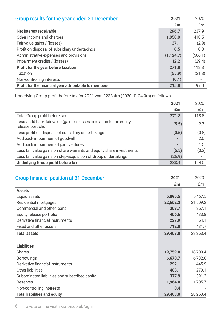| Group results for the year ended 31 December          | 2021       | 2020    |
|-------------------------------------------------------|------------|---------|
|                                                       | £m         | Em      |
| Net interest receivable                               | 296.7      | 237.9   |
| Other income and charges                              | 1,050.0    | 418.5   |
| Fair value gains / (losses)                           | 37.1       | (2.9)   |
| Profit on disposal of subsidiary undertakings         | 0.5        | 0.8     |
| Administrative expenses and provisions                | (1, 124.7) | (506.1) |
| Impairment credits / (losses)                         | 12.2       | (29.4)  |
| Profit for the year before taxation                   | 271.8      | 118.8   |
| Taxation                                              | (55.9)     | (21.8)  |
| Non-controlling interests                             | (0.1)      |         |
| Profit for the financial year attributable to members | 215.8      | 97.0    |

Underlying Group profit before tax for 2021 was £233.4m (2020: £124.0m) as follows:

|                                                                                            | 2021   | 2020  |
|--------------------------------------------------------------------------------------------|--------|-------|
|                                                                                            | £m     | Em    |
| Total Group profit before tax                                                              | 271.8  | 118.8 |
| Less / add back fair value (gains) / losses in relation to the equity<br>release portfolio | (5.5)  | 2.7   |
| Less profit on disposal of subsidiary undertakings                                         | (0.5)  | (0.8) |
| Add back impairment of goodwill                                                            | ۰      | 2.0   |
| Add back impairment of joint ventures                                                      | -      | 1.5   |
| Less fair value gains on share warrants and equity share investments                       | (5.5)  | (0.2) |
| Less fair value gains on step-acquisition of Group undertakings                            | (26.9) |       |
| Underlying Group profit before tax                                                         | 233.4  | 124.0 |

| <b>Group financial position at 31 December</b>  | 2021     | 2020     |
|-------------------------------------------------|----------|----------|
|                                                 | £m       | £m       |
| <b>Assets</b>                                   |          |          |
| Liquid assets                                   | 5,095.5  | 5,467.5  |
| Residential mortgages                           | 22,662.3 | 21,509.2 |
| Commercial and other loans                      | 363.7    | 357.1    |
| Equity release portfolio                        | 406.6    | 433.8    |
| Derivative financial instruments                | 227.9    | 64.1     |
| Fixed and other assets                          | 712.0    | 431.7    |
| <b>Total assets</b>                             | 29,468.0 | 28,263.4 |
|                                                 |          |          |
| <b>Liabilities</b>                              |          |          |
| Shares                                          | 19,759.8 | 18,709.4 |
| <b>Borrowings</b>                               | 6,670.7  | 6,732.0  |
| Derivative financial instruments                | 292.1    | 445.9    |
| Other liabilities                               | 403.1    | 279.1    |
| Subordinated liabilities and subscribed capital | 377.9    | 391.3    |
| Reserves                                        | 1,964.0  | 1,705.7  |
| Non-controlling interests                       | 0.4      |          |
| <b>Total liabilities and equity</b>             | 29,468.0 | 28,263.4 |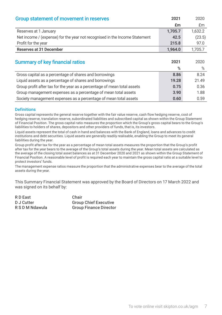| <b>Group statement of movement in reserves</b>                             | 2021    | 2020    |
|----------------------------------------------------------------------------|---------|---------|
|                                                                            | £m      | £m      |
| Reserves at 1 January                                                      | 1,705.7 | 1,632.2 |
| Net income / (expense) for the year not recognised in the Income Statement | 42.5    | (23.5)  |
| Profit for the year                                                        | 215.8   | 97.0    |
| <b>Reserves at 31 December</b>                                             | 1,964.0 | 1,705.7 |
|                                                                            |         |         |
| <b>Summary of key financial ratios</b>                                     | 2021    | 2020    |
|                                                                            | %       | $\%$    |
| Gross capital as a percentage of shares and borrowings                     | 8.86    | 8.24    |
| Liquid assets as a percentage of shares and borrowings                     | 19.28   | 21.49   |
| Group profit after tax for the year as a percentage of mean total assets   | 0.75    | 0.36    |
| Group management expenses as a percentage of mean total assets             | 3.90    | 1.88    |
| Society management expenses as a percentage of mean total assets           | 0.60    | 0.59    |

### Definitions

Gross capital represents the general reserve together with the fair value reserve, cash flow hedging reserve, cost of hedging reserve, translation reserve, subordinated liabilities and subscribed capital as shown within the Group Statement of Financial Position. The gross capital ratio measures the proportion which the Group's gross capital bears to the Group's liabilities to holders of shares, depositors and other providers of funds, that is, its investors.

Liquid assets represent the total of cash in hand and balances with the Bank of England, loans and advances to credit institutions and debt securities. Liquid assets are generally readily realisable, enabling the Group to meet its general liabilities during the year.

Group profit after tax for the year as a percentage of mean total assets measures the proportion that the Group's profit after tax for the year bears to the average of the Group's total assets during the year. Mean total assets are calculated as the average of the closing total asset balances as at 31 December 2020 and 2021 as shown within the Group Statement of Financial Position. A reasonable level of profit is required each year to maintain the gross capital ratio at a suitable level to protect investors' funds.

The management expense ratios measure the proportion that the administrative expenses bear to the average of the total assets during the year.

This Summary Financial Statement was approved by the Board of Directors on 17 March 2022 and was signed on its behalf by:

R D East Chair<br>D J Cutter Crour **Group Chief Executive** R S D M Ndawula Group Finance Director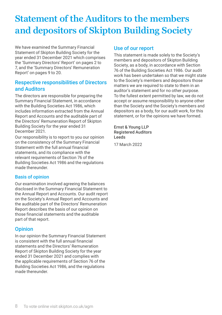# **Statement of the Auditors to the members and depositors of Skipton Building Society**

We have examined the Summary Financial Statement of Skipton Building Society for the year ended 31 December 2021 which comprises the 'Summary Directors' Report' on pages 2 to 7, and the 'Summary Directors' Remuneration Report' on pages 9 to 20.

### Respective responsibilities of Directors and Auditors

The directors are responsible for preparing the Summary Financial Statement, in accordance with the Building Societies Act 1986, which includes information extracted from the Annual Report and Accounts and the auditable part of the Directors' Remuneration Report of Skipton Building Society for the year ended 31 December 2021.

Our responsibility is to report to you our opinion on the consistency of the Summary Financial Statement with the full annual financial statements, and its compliance with the relevant requirements of Section 76 of the Building Societies Act 1986 and the regulations made thereunder.

### Basis of opinion

Our examination involved agreeing the balances disclosed in the Summary Financial Statement to the Annual Report and Accounts. Our audit report on the Society's Annual Report and Accounts and the auditable part of the Directors' Remuneration Report describes the basis of our opinion on those financial statements and the auditable part of that report.

### **Opinion**

In our opinion the Summary Financial Statement is consistent with the full annual financial statements and the Directors' Remuneration Report of Skipton Building Society for the year ended 31 December 2021 and complies with the applicable requirements of Section 76 of the Building Societies Act 1986, and the regulations made thereunder.

### Use of our report

This statement is made solely to the Society's members and depositors of Skipton Building Society, as a body, in accordance with Section 76 of the Building Societies Act 1986. Our audit work has been undertaken so that we might state to the Society's members and depositors those matters we are required to state to them in an auditor's statement and for no other purpose. To the fullest extent permitted by law, we do not accept or assume responsibility to anyone other than the Society and the Society's members and depositors as a body, for our audit work, for this statement, or for the opinions we have formed.

Ernst & Young LLP Registered Auditors Leeds

17 March 2022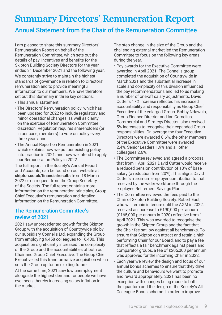## **Summary Directors' Remuneration Report**

### Annual Statement from the Chair of the Remuneration Committee

I am pleased to share this summary Directors' Remuneration Report on behalf of the Remuneration Committee, which sets out the details of pay, incentives and benefits for the Skipton Building Society Directors for the year ended 31 December 2021 and the following year. We constantly strive to maintain the highest standards of governance in relation to Directors' remuneration and to provide meaningful information to our members. We have therefore set out this Summary in three key sections:

- This annual statement;
- The Directors' Remuneration policy, which has been updated for 2022 to include regulatory and minor operational changes, as well as clarity on the exercise of Remuneration Committee discretion. Regulation requires shareholders (or in our case, members) to vote on policy every three years; and
- The Annual Report on Remuneration in 2021 which explains how we put our existing policy into practice in 2021, and how we intend to apply our Remuneration Policy in 2022.

The full report, in the Society's Annual Report and Accounts, can be found on our website at **[skipton.co.uk/financialresults](http://www.skipton.co.uk/financialresults)** from 18 March 2022 or on request from the Group Secretary of the Society. The full report contains more information on the remuneration principles, Group Chief Executive's remuneration and detailed information on the Remuneration Committee.

### The Remuneration Committee's review of 2021

2021 saw unprecedented growth for the Skipton Group with the acquisition of Countrywide plc by our subsidiary Connells Ltd, expanding the Group from employing 9,458 colleagues to 16,400. This acquisition significantly increased the complexity of the Group and the accountabilities of both our Chair and Group Chief Executive. The Group Chief Executive led this transformative acquisition which sets the Group up for an exciting future.

At the same time, 2021 saw low unemployment alongside the highest demand for people we have ever seen, thereby increasing salary inflation in the market.

The step change in the size of the Group and the challenging external market led the Remuneration Committee to focus on the following key areas during the year.

- Pay awards for the Executive Committee were awarded in April 2021. The Connells group completed the acquisition of Countrywide in March 2021 and the substantial increase in scale and complexity of this division influenced the pay recommendations and led to us making a number of one-off salary adjustments. David Cutter's 17% increase reflected his increased accountability and responsibility as Group Chief Executive of the enlarged Group. Bobby Ndawula, Group Finance Director and Ian Cornelius, Commercial and Strategy Director, also received 5% increases to recognise their expanded Group responsibilities. On average the four Executive Directors were awarded 8.6%, the other members of the Executive Committee were awarded 2.4%, Senior Leaders 1.9% and all other colleagues 2.6%.
- The Committee reviewed and agreed a proposal that from 1 April 2021 David Cutter would receive a reduced pension contribution of 10% of base salary (a reduction from 20%). This aligns David Cutter's maximum employer contribution to that received by the wider workforce through the employee Retirement Savings Plan.
- The Committee reviewed the fees paid to the Chair of Skipton Building Society. Robert East, who will remain in tenure until the AGM in 2022, received an increase to £190,000 per annum (£165,000 per annum in 2020) effective from 1 April 2021. This was awarded to recognise the growth in the Skipton Group and the fact that the Chair fee sat low against all benchmarks. To ensure that Skipton can attract and retain a high performing Chair for our Board, and to pay a fee that reflects a fair benchmark against peers and comparator groups, a fee of £205,000 per annum was approved for the incoming Chair in 2022.
- Each year we review the design and focus of our annual bonus schemes to ensure that they drive the culture and behaviours we want to promote and reward appropriately. 2021 has been no exception with changes being made to both the quantum and the design of the Society's All Colleague Bonus scheme. In order to improve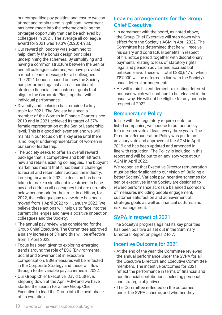our competitive pay position and ensure we can attract and retain talent, significant investment has been made into the scheme doubling the on-target opportunity that can be achieved by colleagues in 2021. The average all colleague award for 2021 was 10.3% (2020: 4.9%).

- Our reward philosophy was examined to help identify the bonus design principles underpinning the schemes. By simplifying and having a common structure between the Senior and all colleague schemes, we have provided a much clearer message for all colleagues. The 2021 bonus is based on how the Society has performed against a small number of strategic financial and customer goals that align to the Corporate Plan, together with individual performance.
- Diversity and Inclusion has remained a key topic for 2021. The Society has been a member of the Women in Finance Charter since 2019 and in 2021 achieved its target of 37% female representation at the Senior Leadership level. This is a good achievement and we will maintain our focus on this key area until there is no longer under-representation of women in our senior leadership.
- The Society seeks to offer an overall reward package that is competitive and both attracts new and retains existing colleagues. The buoyant market has meant that it has been a challenge to recruit and retain talent across the industry. Looking forward to 2022, a decision has been taken to make a significant investment in base pay and address all colleagues that are currently below benchmark for their role. In addition, for 2022, the colleague pay review date has been moved from 1 April 2022 to 1 January 2022. We believe these actions will help us to face into the current challenges and have a positive impact on colleagues and the Society.
- The annual pay review was considered for the Group Chief Executive. The Committee approved a salary increase of 3% and this will be effective from 1 April 2022.
- Focus has been given to exploring emerging trends around the role of ESG (Environmental, Social and Governance) in executive compensation. ESG measures will be reflected in the Corporate Strategy and these will flow through to the variable pay schemes in 2022.
- Our Group Chief Executive, David Cutter, is stepping down at the April AGM and we have started the search for a new Group Chief Executive to lead the Group into the next phase of its evolution.

### Leaving arrangements for the Group Chief Executive

- In agreement with the board, as noted above, the Group Chief Executive will step down with effect from the Society's AGM in April 2022. The Committee has determined that he will receive his salary and contractual benefits in respect of his notice period, together with discretionary payments relating to loss of statutory rights, legal and pension advice, and accrued but untaken leave. These will total £880,647 of which £87,000 will be deferred in line with the Society's usual deferral arrangements.
- He will retain his entitlement to existing deferred bonuses which will continue to be released in the usual way. He will not be eligible for any bonus in respect of 2022.

### Remuneration Policy

In line with the regulatory requirements for listed companies, we choose to put our policy to a member vote at least every three years. The Directors' Remuneration Policy was put to an advisory vote and approved at the AGM in April 2019 and has been updated and amended in line with regulation. The Policy is included in this report and will be put to an advisory vote at our AGM in April 2022.

We recognise that Executive Director remuneration must be clearly aligned to our vision of 'Building a better Society'. Variable pay incentive schemes for senior executives in the Society are designed to reward performance across a balanced scorecard of measures including people engagement, customer satisfaction and achievement of strategic goals as well as financial outturns and risk management.

### SVPA in respect of 2021

The Society's progress against its key priorities has been positive as set out in the Summary Directors' Report on pages 2 to 7.

### Incentive Outcome for 2021

- At the end of the year, the Committee reviewed the annual performance under the SVPA for all the Executive Directors and Executive Committee members. The incentive outcomes for 2021 reflect the performance in terms of financial and non-financial contributions including personal and strategic objectives.
- The Committee reflected on the outcomes under the SVPA scheme, and whether they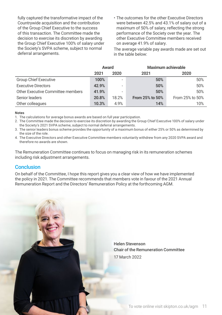fully captured the transformative impact of the Countrywide acquisition and the contribution of the Group Chief Executive to the success of this transaction. The Committee made the decision to exercise its discretion by awarding the Group Chief Executive 100% of salary under the Society's SVPA scheme, subject to normal deferral arrangements.

• The outcomes for the other Executive Directors were between 42.5% and 43.1% of salary out of a maximum of 50% of salary, reflecting the strong performance of the Society over the year. The other Executive Committee members received on average 41.9% of salary.

The average variable pay awards made are set out in the table below:

|                                   | Award |                          |                        | Maximum achievable |
|-----------------------------------|-------|--------------------------|------------------------|--------------------|
|                                   | 2021  | 2020                     | 2021                   | 2020               |
| <b>Group Chief Executive</b>      | 100%  | $\overline{\phantom{a}}$ | 50%                    | 50%                |
| <b>Executive Directors</b>        | 42.9% | $\overline{\phantom{a}}$ | 50%                    | 50%                |
| Other Executive Committee members | 41.9% |                          | 50%                    | 50%                |
| Senior leaders                    | 20.8% | 18.2%                    | <b>From 25% to 50%</b> | From 25% to 50%    |
| Other colleagues                  | 10.3% | 4.9%                     | 14%                    | 10%                |

#### **Notes**

1. The calculations for average bonus awards are based on full year participation.

- 2. The Committee made the decision to exercise its discretion by awarding the Group Chief Executive 100% of salary under
- the Society's 2021 SVPA scheme, subject to normal deferral arrangements.
- 3. The senior leaders bonus scheme provides the opportunity of a maximum bonus of either 25% or 50% as determined by the size of the role.
- 4. The Executive Directors and other Executive Committee members voluntarily withdrew from any 2020 SVPA award and therefore no awards are shown.

The Remuneration Committee continues to focus on managing risk in its remuneration schemes including risk adjustment arrangements.

### **Conclusion**

On behalf of the Committee, I hope this report gives you a clear view of how we have implemented the policy in 2021. The Committee recommends that members vote in favour of the 2021 Annual Remuneration Report and the Directors' Remuneration Policy at the forthcoming AGM.

> Helen Stevenson Chair of the Remuneration Committee 17 March 2022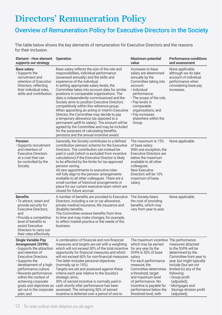# **Directors' Remuneration Policy**

### Overview of Remuneration Policy for Executive Directors in the Society

The table below shows the key elements of remuneration for Executive Directors and the reasons for their inclusion.

| Element - How element Operation<br>supports our strategy                                                                                                                                                                                                                                          |                                                                                                                                                                                                                                                                                                                                                                                                                                                                                                                                                                                                                                                                                                                                                                                                  | <b>Maximum potential</b><br>value                                                                                                                                                                                                                                                                                          | <b>Performance conditions</b><br>and assessment                                                                                                                                                                                                                                    |
|---------------------------------------------------------------------------------------------------------------------------------------------------------------------------------------------------------------------------------------------------------------------------------------------------|--------------------------------------------------------------------------------------------------------------------------------------------------------------------------------------------------------------------------------------------------------------------------------------------------------------------------------------------------------------------------------------------------------------------------------------------------------------------------------------------------------------------------------------------------------------------------------------------------------------------------------------------------------------------------------------------------------------------------------------------------------------------------------------------------|----------------------------------------------------------------------------------------------------------------------------------------------------------------------------------------------------------------------------------------------------------------------------------------------------------------------------|------------------------------------------------------------------------------------------------------------------------------------------------------------------------------------------------------------------------------------------------------------------------------------|
| <b>Base salary</b><br>$\cdot$ Supports the<br>recruitment and<br>retention of Executive<br>Directors, reflecting<br>their individual roles.<br>skills and contribution.                                                                                                                           | Base salary reflects the size of the role and<br>responsibilities, individual performance<br>(assessed annually) and the skills and<br>experience of the individual.<br>In setting appropriate salary levels, the<br>Committee takes into account data for similar<br>positions in comparable organisations. The<br>data is independently commissioned and the<br>Society aims to position Executive Directors<br>competitively within this reference group.<br>When appointing an acting or interim Executive<br>Director, the Committee may decide to pay<br>a temporary allowance (as opposed to a<br>permanent uplift to salary). The amount will be<br>agreed by the Committee and may be included<br>for the purposes of calculating benefits,<br>pensions and the annual incentive award. | Increases to base<br>salary are determined<br>annually by the<br>Committee taking into<br>account:<br>· Individual<br>performance;<br>• The scope of the role;<br>• Pay levels in<br>comparable<br>organisations; and<br>• Pay increases<br>elsewhere within the<br>Group.                                                 | None applicable,<br>although we do take<br>account of individual<br>performance when<br>considering base pay<br>increases.                                                                                                                                                         |
| Pension<br>· Supports recruitment<br>and retention of<br><b>Executive Directors</b><br>at a cost that can<br>be controlled by the<br>Society.                                                                                                                                                     | Generally, the Society contributes to a defined<br>contribution pension scheme for the Executive<br>Directors. The contribution can instead be<br>paid in cash (which is excluded from incentive<br>calculations) if the Executive Director is likely<br>to be affected by the limits for tax-approved<br>pension saving.<br>All new appointments to executive roles<br>will fully align to the pension arrangements<br>available to all other colleagues. There are a<br>small number of historical arrangements in<br>place for our current executive team which are<br>closed for future accrual.                                                                                                                                                                                             | The maximum is 15%<br>of base salary.<br>With one exception, the<br><b>Executive Directors are</b><br>below the maximum<br>available to all other<br>colleagues.<br><b>New Executive</b><br>Directors will be 10%<br>maximum of base<br>salary.                                                                            | None applicable.                                                                                                                                                                                                                                                                   |
| <b>Benefits</b><br>$\cdot$ To attract, retain and<br>provide security for<br><b>Executive Directors;</b><br>and<br>• Provide a competitive<br>level of benefits to<br>assist Executive<br>Directors to carry out<br>their roles effectively.                                                      | A number of benefits are provided to Executive<br>Directors, including a car or car allowance,<br>private medical insurance, life insurance and<br>disability benefits.<br>The Committee reviews benefits from time<br>to time and may make changes, for example,<br>to reflect market practice or the needs of the<br>business.                                                                                                                                                                                                                                                                                                                                                                                                                                                                 | The Society bears<br>the cost of providing<br>benefits, which may<br>vary from year to year.                                                                                                                                                                                                                               | None applicable.                                                                                                                                                                                                                                                                   |
| <b>Single Variable Pay</b><br><b>Arrangement (SVPA)</b><br>· Supports the attraction<br>and retention of<br><b>Executive Directors.</b><br>• Supports the<br>development of a high-<br>performance culture.<br>• Rewards performance<br>within the context of<br>achieving corporate<br>plan; and | A combination of financial and non-financial<br>measures and targets are set with a weighting<br>which will not exceed 50% of the total incentive<br>opportunity for financial measures and which<br>will not exceed 60% for non-financial measures. salary.<br>The latter includes personal objectives<br>(normally up to 15%).<br>Targets are set and assessed against these<br>criteria each year relative to the Society's<br>strategic aims.<br>50% of earned incentive is normally paid in<br>goals and objectives as cash shortly after performance has been<br>set out in the corporate assessed. The remaining 50% of earned<br>incentive is deferred over a period of one to                                                                                                           | The maximum incentive The performance<br>which may be earned<br>for any year by the<br>SVPA is 50% of base<br>For each performance<br>measure, the<br>Committee determines<br>a threshold, target<br>and maximum level<br>of performance. No<br>incentive is payable for<br>performance below the<br>threshold level, with | measures attached<br>to the SVPA will be<br>determined by the<br>Committee from year to<br>year, but might typically<br>include (but are not<br>limited to) any of the<br>following:<br>• Group profit<br>(adjusted);<br>• Mortgages and<br>Savings division profit<br>(adjusted); |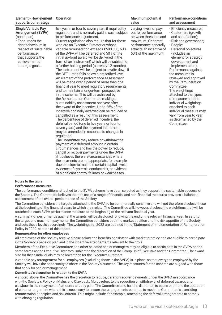| Element - How element                                                                                                                                                                                                 | <b>Operation</b>                                                                                                                                                                                                                                                                                                                                                                                                                                                                                                                                                                                                                                                                                                                                                                                                                                                                                                                                                                                                                                                                                                                                                                                                                                                                                                                                                                                                                                                                                                                                                                                                                                                                                                         | <b>Maximum potential</b>                                                                                                                                                 | <b>Performance conditions</b>                                                                                                                                                                                                                                                                                                                                                                                                                                                                                                      |
|-----------------------------------------------------------------------------------------------------------------------------------------------------------------------------------------------------------------------|--------------------------------------------------------------------------------------------------------------------------------------------------------------------------------------------------------------------------------------------------------------------------------------------------------------------------------------------------------------------------------------------------------------------------------------------------------------------------------------------------------------------------------------------------------------------------------------------------------------------------------------------------------------------------------------------------------------------------------------------------------------------------------------------------------------------------------------------------------------------------------------------------------------------------------------------------------------------------------------------------------------------------------------------------------------------------------------------------------------------------------------------------------------------------------------------------------------------------------------------------------------------------------------------------------------------------------------------------------------------------------------------------------------------------------------------------------------------------------------------------------------------------------------------------------------------------------------------------------------------------------------------------------------------------------------------------------------------------|--------------------------------------------------------------------------------------------------------------------------------------------------------------------------|------------------------------------------------------------------------------------------------------------------------------------------------------------------------------------------------------------------------------------------------------------------------------------------------------------------------------------------------------------------------------------------------------------------------------------------------------------------------------------------------------------------------------------|
| supports our strategy                                                                                                                                                                                                 |                                                                                                                                                                                                                                                                                                                                                                                                                                                                                                                                                                                                                                                                                                                                                                                                                                                                                                                                                                                                                                                                                                                                                                                                                                                                                                                                                                                                                                                                                                                                                                                                                                                                                                                          | value                                                                                                                                                                    | and assessment                                                                                                                                                                                                                                                                                                                                                                                                                                                                                                                     |
| <b>Single Variable Pay</b><br><b>Arrangement (SVPA)</b><br>(continued)<br>• Encourages the<br>right behaviours in<br>respect of sustainable<br>performance<br>that supports the<br>achievement of<br>strategic goals. | five years, or four to seven years if required by<br>regulation, and is normally paid in cash subject<br>to performance adjustment.<br>Current regulations also require that for those<br>who are an Executive Director or whose<br>variable remuneration exceeds £500,000, 60%<br>of the SVPA will be deferred and 50% of the<br>initial up-front award will be delivered in the<br>form of an 'instrument' which will be subject to<br>a further holding period (currently 12 months).<br>The instrument will be subject to a write down if<br>the CET 1 ratio falls below a prescribed level.<br>An element of the performance assessment<br>will be made over a period of more than one<br>financial year to meet regulatory requirements<br>and to maintain a longer-term perspective<br>in the scheme. This will be achieved by<br>the Remuneration Committee making a<br>sustainability assessment one year after<br>the award of the incentive. Up to 25% of the<br>incentive originally awarded can be reduced or<br>cancelled as a result of this assessment.<br>The percentage of deferred incentive, the<br>deferral period (one to five years or four to<br>seven years) and the payment instrument<br>may be amended in response to changes in<br>regulation.<br>The Committee may reduce or withdraw the<br>payment of a deferred amount in certain<br>circumstances and has the power to reduce,<br>cancel or recover payments under the SVPA<br>if it believes there are circumstances where<br>the payments are not appropriate, for example<br>due to failure to maintain certain capital levels,<br>evidence of systemic conduct risk, or evidence<br>of significant control failures or weaknesses. | varying levels of pay-<br>out for performance<br>between threshold and<br>maximum. On-target<br>performance generally<br>attracts an incentive of<br>60% of the maximum. | · Efficiency measures;<br>• Customers (growth<br>and satisfaction);<br>· Risk and governance;<br>· People;<br>· Personal objectives<br>(includes an<br>element for strategy<br>development and<br>implementation).<br>Performance against<br>the measures is<br>reviewed and approved<br>by the Remuneration<br>Committee.<br>The weightings<br>attached to the types<br>of measure and the<br>individual weightings<br>attached to each<br>individual measure may<br>vary from year to year<br>as determined by the<br>Committee. |

#### **Notes to the table**

#### **Performance measures**

The performance conditions attached to the SVPA scheme have been selected as they support the sustainable success of the Society. The Committee believes that the use of a range of financial and non-financial measures provides a balanced assessment of the overall performance of the Society.

The Committee considers the targets attached to the SVPA to be commercially sensitive and will not therefore disclose these at the beginning of the financial years to which they relate. The Committee will, however, disclose the weightings that will be attached to each SVPA performance measure at the beginning of the relevant financial year.

A summary of performance against the targets will be disclosed following the end of the relevant financial year. In setting the target and maximum payments, the Committee considers both the market position and the risk appetite of the Society and sets these levels accordingly. The weightings for 2022 are outlined in the 'Statement of implementation of Remuneration Policy in 2022' section of this report.

#### **Remuneration for other employees**

All employees of the Society receive a base salary and benefits consistent with market practice and are eligible to participate in the Society's pension plan and in the incentive arrangements relevant to their role.

Members of the Executive Committee and other selected senior managers may be eligible to participate in the SVPA on the same terms as the Executive Directors, subject to the discretion of the Group Chief Executive and the Committee. The award size for these individuals may be lower than for the Executive Directors.

A variable pay arrangement for all employees (excluding those in the SVPA) is in place, so that everyone employed by the Society will have the opportunity to share in the Society's success. The key measures for the scheme are aligned with those that apply for senior management.

#### **Committee's discretion in relation to the SVPA**

As noted above, the Committee has the discretion to reduce, defer or recover payments under the SVPA in accordance with the Society's Policy on Malus and Clawback. Malus refers to the reduction or withdrawal of deferred awards and clawback is the repayment of amounts already paid. The Committee also has the discretion to cease or amend the operation of either arrangement where this is necessary to ensure the arrangements continue to meet the Committee's overriding remuneration principles and risk criteria. This might include, for example, amending the deferral arrangements to comply with changing regulation.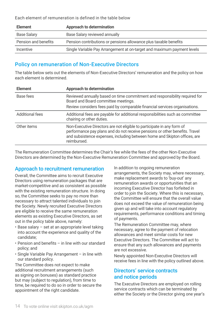Each element of remuneration is defined in the table below

| <b>Element</b>       | Approach to determination                                               |
|----------------------|-------------------------------------------------------------------------|
| Base Salary          | Base Salary reviewed annually                                           |
| Pension and benefits | Pension contributions or pensions allowance plus taxable benefits       |
| Incentive            | Single Variable Pay Arrangement at on-target and maximum payment levels |

### Policy on remuneration of Non-Executive Directors

The table below sets out the elements of Non-Executive Directors' remuneration and the policy on how each element is determined.

| <b>Element</b>  | Approach to determination                                                                                                                                                                                                                         |
|-----------------|---------------------------------------------------------------------------------------------------------------------------------------------------------------------------------------------------------------------------------------------------|
| Base fees       | Reviewed annually based on time commitment and responsibility required for<br>Board and Board committee meetings.<br>Review considers fees paid by comparable financial services organisations.                                                   |
| Additional fees | Additional fees are payable for additional responsibilities such as committee<br>chairing or other duties.                                                                                                                                        |
| Other items     | Non-Executive Directors are not eligible to participate in any form of<br>performance pay plans and do not receive pensions or other benefits. Travel<br>and subsistence expenses, including between home and Skipton offices, are<br>reimbursed. |

The Remuneration Committee determines the Chair's fee while the fees of the other Non-Executive Directors are determined by the Non-Executive Remuneration Committee and approved by the Board.

### Approach to recruitment remuneration

Overall, the Committee aims to recruit Executive Directors using remuneration packages that are market-competitive and as consistent as possible with the existing remuneration structure. In doing so, the Committee seeks to pay no more than necessary to attract talented individuals to join the Society. Newly recruited Executive Directors are eligible to receive the same remuneration elements as existing Executive Directors, as set out in the policy table above, namely:

- Base salary set at an appropriate level taking into account the experience and quality of the candidate;
- Pension and benefits in line with our standard policy; and
- Single Variable Pay Arrangement in line with our standard policy.

The Committee does not expect to make additional recruitment arrangements (such as signing on bonuses) as standard practice but may (subject to regulation), from time to time, be required to do so in order to secure the appointment of the right candidate.

In addition to ongoing remuneration arrangements, the Society may, where necessary, make replacement awards to 'buy-out' any remuneration awards or opportunities that an incoming Executive Director has forfeited in order to join the Society. Where this is necessary, the Committee will ensure that the overall value does not exceed the value of remuneration being given up and will take into account regulatory requirements, performance conditions and timing of payments.

The Remuneration Committee may, where necessary, agree to the payment of relocation allowances and meet similar costs for new Executive Directors. The Committee will act to ensure that any such allowances and payments are not excessive.

Newly appointed Non-Executive Directors will receive fees in line with the policy outlined above.

### Directors' service contracts and notice periods

The Executive Directors are employed on rolling service contracts which can be terminated by either the Society or the Director giving one year's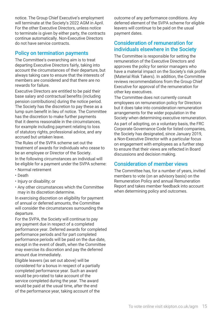notice. The Group Chief Executive's employment will terminate at the Society's 2022 AGM in April. For the other Executive Directors, unless notice to terminate is given by either party, the contracts continue automatically. Non-Executive Directors do not have service contracts.

### Policy on termination payments

The Committee's overarching aim is to treat departing Executive Directors fairly, taking into account the circumstances of their departure, but always taking care to ensure that the interests of members are considered and that there are no rewards for failure.

Executive Directors are entitled to be paid their base salary and contractual benefits (including pension contributions) during the notice period. The Society has the discretion to pay these as a lump sum benefit in lieu of notice. The Committee has the discretion to make further payments that it deems reasonable in the circumstances, for example including payment relating to loss of statutory rights, professional advice, and any accrued but untaken leave.

The Rules of the SVPA scheme set out the treatment of awards for individuals who cease to be an employee or Director of the Society.

In the following circumstances an individual will be eligible for a payment under the SVPA scheme:

- Normal retirement
- Death
- Injury or disability; or
- Any other circumstances which the Committee may in its discretion determine.

In exercising discretion on eligibility for payment of annual or deferred amounts, the Committee will consider the circumstances surrounding the departure.

For the SVPA, the Society will continue to pay any payment due in respect of a completed performance year. Deferred awards for completed performance periods and for part completed performance periods will be paid on the due date, except in the event of death, when the Committee may exercise its discretion and pay the deferred amount due immediately.

Eligible leavers (as set out above) will be considered for a bonus in respect of a partially completed performance year. Such an award would be pro-rated to take account of the service completed during the year. The award would be paid at the usual time, after the end of the performance year, taking account of the

outcome of any performance conditions. Any deferred element of the SVPA scheme for eligible leavers will continue to be paid on the usual payment dates.

### Consideration of remuneration for individuals elsewhere in the Society

The Committee is responsible for setting the remuneration of the Executive Directors and approves the policy for senior managers who have a material impact on the Society's risk profile (Material Risk Takers). In addition, the Committee reviews recommendations from the Group Chief Executive for approval of the remuneration for other key executives.

The Committee does not currently consult employees on remuneration policy for Directors but it does take into consideration remuneration arrangements for the wider population in the Society when determining executive remuneration. As part of adopting, on a voluntary basis, the FRC Corporate Governance Code for listed companies,

the Society has designated, since January 2019, a Non-Executive Director with a particular focus on engagement with employees as a further step to ensure that their views are reflected in Board discussions and decision making.

### Consideration of member views

The Committee has, for a number of years, invited members to vote (on an advisory basis) on the Remuneration Policy and annual Remuneration Report and takes member feedback into account when determining policy and outcomes.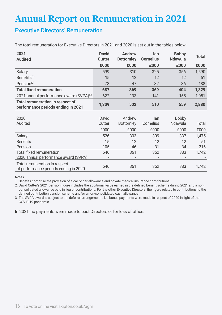# **Annual Report on Remuneration in 2021**

### Executive Directors' Remuneration

The total remuneration for Executive Directors in 2021 and 2020 is set out in the tables below:

| 2021                                                                   | <b>David</b> | <b>Andrew</b>    | lan              | <b>Bobby</b>   | <b>Total</b> |
|------------------------------------------------------------------------|--------------|------------------|------------------|----------------|--------------|
| <b>Audited</b>                                                         | Cutter       | <b>Bottomley</b> | <b>Cornelius</b> | <b>Ndawula</b> |              |
|                                                                        | £000         | £000             | £000             | £000           | £000         |
| Salary                                                                 | 599          | 310              | 325              | 356            | 1,590        |
| Benefits $(1)$                                                         | 15           | 12               | 12               | 12             | 51           |
| Pension $(2)$                                                          | 73           | 47               | 32               | 36             | 188          |
| <b>Total fixed remuneration</b>                                        | 687          | 369              | 369              | 404            | 1,829        |
| 2021 annual performance award (SVPA) <sup>(3)</sup>                    | 622          | 133              | 141              | 155            | 1,051        |
| Total remuneration in respect of<br>performance periods ending in 2021 | 1,309        | 502              | 510              | 559            | 2,880        |
|                                                                        |              |                  |                  |                |              |
| 2020                                                                   | David        | Andrew           | lan              | Bobby          |              |
| Audited                                                                | Cutter       | <b>Bottomley</b> | Cornelius        | Ndawula        | Total        |
|                                                                        | £000         | £000             | £000             | £000           | £000         |
| Salary                                                                 | 526          | 303              | 309              | 337            | 1,475        |
| <b>Benefits</b>                                                        | 15           | 12               | 12               | 12             | 51           |
| Pension                                                                | 105          | 46               | 31               | 34             | 216          |
| Total fixed remuneration                                               | 646          | 361              | 352              | 383            | 1,742        |
| 2020 annual performance award (SVPA)                                   |              |                  |                  |                |              |
| Total remuneration in respect<br>of performance periods ending in 2020 | 646          | 361              | 352              | 383            | 1,742        |

Notes

1. Benefits comprise the provision of a car or car allowance and private medical insurance contributions.

2. David Cutter's 2021 pension figure includes the additional value earned in the defined benefit scheme during 2021 and a nonconsolidated allowance paid in lieu of contributions. For the other Executive Directors, the figure relates to contributions to the defined contribution pension scheme and/or a non-consolidated cash allowance

3. The SVPA award is subject to the deferral arrangements. No bonus payments were made in respect of 2020 in light of the COVID-19 pandemic.

In 2021, no payments were made to past Directors or for loss of office.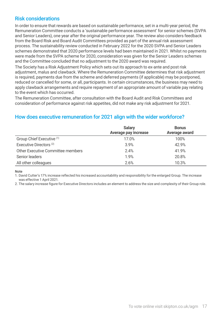### Risk considerations

In order to ensure that rewards are based on sustainable performance, set in a multi-year period, the Remuneration Committee conducts a 'sustainable performance assessment' for senior schemes (SVPA and Senior Leaders), one year after the original performance year. The review also considers feedback from the Board Risk and Board Audit Committees provided as part of the annual risk assessment process. The sustainability review conducted in February 2022 for the 2020 SVPA and Senior Leaders schemes demonstrated that 2020 performance levels had been maintained in 2021. Whilst no payments were made from the SVPA scheme for 2020, consideration was given for the Senior Leaders schemes and the Committee concluded that no adjustment to the 2020 award was required.

The Society has a Risk Adjustment Policy which sets out its approach to ex-ante and post risk adjustment, malus and clawback. Where the Remuneration Committee determines that risk adjustment is required, payments due from the scheme and deferred payments (if applicable) may be postponed, reduced or cancelled for some, or all, participants. In certain circumstances, the business may need to apply clawback arrangements and require repayment of an appropriate amount of variable pay relating to the event which has occurred.

The Remuneration Committee, after consultation with the Board Audit and Risk Committees and consideration of performance against risk appetites, did not make any risk adjustment for 2021.

### How does executive remuneration for 2021 align with the wider workforce?

|                                    | <b>Salary</b><br>Average pay increase | <b>Bonus</b><br>Average award |
|------------------------------------|---------------------------------------|-------------------------------|
| Group Chief Executive (1)          | 17.0%                                 | 100%                          |
| Executive Directors <sup>(2)</sup> | 3.9%                                  | 42.9%                         |
| Other Executive Committee members  | 2.4%                                  | 41.9%                         |
| Senior leaders                     | 1.9%                                  | 20.8%                         |
| All other colleagues               | 2.6%                                  | 10.3%                         |

#### Note

1. David Cutter's 17% increase reflected his increased accountability and responsibility for the enlarged Group. The increase was effective 1 April 2021.

2. The salary increase figure for Executive Directors includes an element to address the size and complexity of their Group role.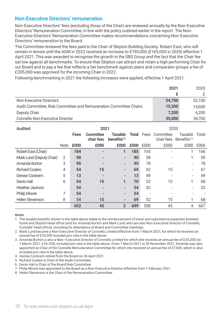### Non-Executive Directors' remuneration

Non-Executive Directors' fees (excluding those of the Chair) are reviewed annually by the Non-Executive Directors' Remuneration Committee, in line with the policy outlined earlier in the report. The Non-Executive Directors' Remuneration Committee makes recommendations concerning Non-Executive Directors' remuneration to the Board.

The Committee reviewed the fees paid to the Chair of Skipton Building Society. Robert East, who will remain in tenure until the AGM in 2022 received an increase to £190,000 (£165,000 in 2020) effective 1 April 2021. This was awarded to recognise the growth in the SBS Group and the fact that the Chair fee sat low against all benchmarks. To ensure that Skipton can attract and retain a high performing Chair for our Board and to pay a fee that reflects a fair benchmark against peers and comparator groups a fee of £205,000 was approved for the incoming Chair in 2022.

Following benchmarking in 2021 the following increases were applied, effective 1 April 2021:

|                                                                   | 2021   | 2020   |
|-------------------------------------------------------------------|--------|--------|
|                                                                   |        |        |
| Non-Executive Directors                                           | 54.700 | 52.100 |
| Audit Committee, Risk Committee and Remuneration Committee Chairs | 15.300 | 14.600 |
| Deputy Chair                                                      | 7.200  | 6.200  |
| <b>Connells Non-Executive Director</b>                            | 35,000 | 34.700 |

| Audited                  |             | 2021        |                         |                           |      | 2020                     |                                           |                           |       |
|--------------------------|-------------|-------------|-------------------------|---------------------------|------|--------------------------|-------------------------------------------|---------------------------|-------|
|                          |             | <b>Fees</b> | Committee<br>chair fees | Taxable<br>benefits $(1)$ |      |                          | <b>Total</b> Fees Committee<br>chair fees | Taxable<br>Benefits $(1)$ | Total |
|                          | <b>Note</b> | £000        | £000                    | £000                      | £000 | £000                     | £000                                      | £000                      | £000  |
| Robert East (Chair)      |             | 184         |                         | 1                         | 185  | 165                      |                                           |                           | 166   |
| Mark Lund (Deputy Chair) | 2           | 90          |                         | $\overline{\phantom{a}}$  | 90   | 58                       |                                           |                           | 59    |
| Amanda Burton            | 3           | 95          | -                       | $\overline{\phantom{a}}$  | 95   | 78                       |                                           |                           | 78    |
| <b>Richard Coates</b>    | 4           | 54          | 15                      | -                         | 69   | 52                       | 15                                        |                           | 67    |
| Denise Cockrem           | 5           | 13          | -                       | $\overline{\phantom{a}}$  | 13   | 49                       |                                           |                           | 49    |
| Denis Hall               | 6           | 54          | 15                      | 1                         | 70   | 52                       | 15                                        |                           | 68    |
| Heather Jackson          |             | 54          |                         |                           | 54   | 52                       |                                           |                           | 52    |
| <b>Philip Moore</b>      | 7           | 54          | -                       | $\overline{\phantom{a}}$  | 54   | $\overline{\phantom{a}}$ |                                           |                           |       |
| <b>Helen Stevenson</b>   | 8           | 54          | 15                      | $\overline{\phantom{a}}$  | 69   | 52                       | 15                                        |                           | 68    |
|                          |             | 652         | 45                      | $\overline{2}$            | 699  | 558                      | 45                                        | 4                         | 607   |

#### Notes

1. The taxable benefits shown in the table above relate to the reimbursement of travel and subsistence expenses between home and Skipton head office (and for Amanda Burton and Mark Lund, who are also Non-Executive Director of Connells, Connells' head office), including for attendance at Board and Committee meetings.

2. Mark Lund became a Non-Executive Director of Connells Limited effective from 1 March 2021, for which he receives an annual fee of £35,000 included pro-rata in the table above.

3. Amanda Burton is also a Non–Executive Director of Connells Limited for which she receives an annual fee of £35,000 (to 1 March 2021: £34,700), included pro-rata in the table above. From 1 March 2021 to 30 November 2021, Amanda was also appointed as Chair of the Connells Remuneration Committee for which she received an annual fee of £7,600, which is also included pro-rata in the table above.

4. Denise Cockrem retired from the Board on 26 April 2021.

5. Richard Coates is Chair of the Audit Committee.

6. Denis Hall is Chair of the Board Risk Committee.

7. Philip Moore was appointed to the Board as a Non-Executive Director effective from 1 February 2021.

8. Helen Stevenson is the Chair of the Remuneration Committee.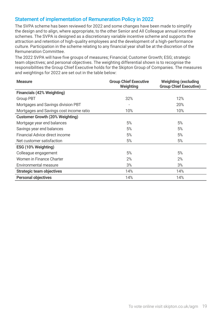### Statement of implementation of Remuneration Policy in 2022

The SVPA scheme has been reviewed for 2022 and some changes have been made to simplify the design and to align, where appropriate, to the other Senior and All Colleague annual incentive schemes. The SVPA is designed as a discretionary variable incentive scheme and supports the attraction and retention of high-quality employees and the development of a high-performance culture. Participation in the scheme relating to any financial year shall be at the discretion of the Remuneration Committee.

The 2022 SVPA will have five groups of measures; Financial; Customer Growth; ESG; strategic team objectives; and personal objectives. The weighting differential shown is to recognise the responsibilities the Group Chief Executive holds for the Skipton Group of Companies. The measures and weightings for 2022 are set out in the table below:

| <b>Measure</b>                          | <b>Group Chief Executive</b><br>Weighting | <b>Weighting (excluding</b><br><b>Group Chief Executive)</b> |  |
|-----------------------------------------|-------------------------------------------|--------------------------------------------------------------|--|
| Financials (42% Weighting)              |                                           |                                                              |  |
| Group PBT                               | 32%                                       | 12%                                                          |  |
| Mortgages and Savings division PBT      |                                           | 20%                                                          |  |
| Mortgages and Savings cost income ratio | 10%                                       | 10%                                                          |  |
| <b>Customer Growth (20% Weighting)</b>  |                                           |                                                              |  |
| Mortgage year end balances              | 5%                                        | 5%                                                           |  |
| Savings year end balances               | 5%                                        | 5%                                                           |  |
| Financial Advice direct income          | 5%                                        | 5%                                                           |  |
| Net customer satisfaction               | 5%                                        | 5%                                                           |  |
| ESG (10% Weighting)                     |                                           |                                                              |  |
| Colleague engagement                    | 5%                                        | 5%                                                           |  |
| Women in Finance Charter                | 2%                                        | 2%                                                           |  |
| Environmental measure                   | 3%                                        | 3%                                                           |  |
| <b>Strategic team objectives</b>        | 14%                                       | 14%                                                          |  |
| <b>Personal objectives</b>              | 14%                                       | 14%                                                          |  |